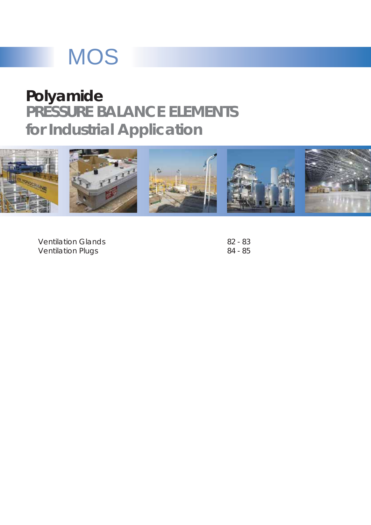# **MOS**

## **PRESSURE BALANCE ELEMENTS for Industrial Application Polyamide**



Ventilation Glands Ventilation Plugs

82 - 83 84 - 85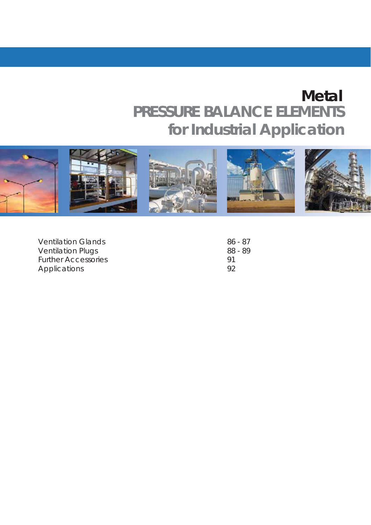## **PRESSURE BALANCE ELEMENTS for Industrial Application Metal**



| <b>Ventilation Glands</b>  | 86 - 87 |
|----------------------------|---------|
| <b>Ventilation Plugs</b>   | 88 - 89 |
| <b>Further Accessories</b> | Q1      |
| Applications               | Q2      |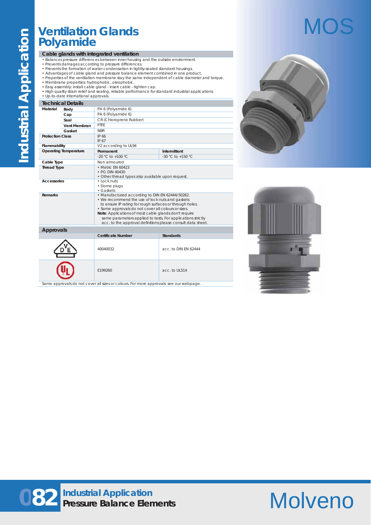## **Ventilation Glands Polyamide**

#### **Cable glands with integrated ventilation**

- Balances pressure differences between inner housing and the outside environment.
- 
- 
- Prevents damages according to pressure differences.<br>• Prevents the formation of water condensation in tightly-sealed standard housings.<br>• Advantages of cable gland and pressure balance element combined in one product.<br>•
- 
- 
- Easy assembly: install cable gland insert cable tighten cap.<br>• High quality strain relief and sealing, reliable performance for standard industrial applications.<br>• Up-to-date international approvals.

#### **Technical Details**

|                         | Techingal Details            |                                                                                                              |                       |  |  |  |  |  |  |  |
|-------------------------|------------------------------|--------------------------------------------------------------------------------------------------------------|-----------------------|--|--|--|--|--|--|--|
| Material                | Body                         | PA 6 (Polyamide 6)                                                                                           |                       |  |  |  |  |  |  |  |
|                         | Cap                          | PA 6 (Polyamide 6)                                                                                           |                       |  |  |  |  |  |  |  |
|                         | Seal                         | CR (Chloroprene Rubber)                                                                                      |                       |  |  |  |  |  |  |  |
|                         | Vent Membran                 | PTFF                                                                                                         |                       |  |  |  |  |  |  |  |
|                         | Gasket                       | <b>NBR</b>                                                                                                   |                       |  |  |  |  |  |  |  |
| <b>Protection Class</b> |                              | IP 66                                                                                                        |                       |  |  |  |  |  |  |  |
|                         |                              | IP 67                                                                                                        |                       |  |  |  |  |  |  |  |
| Flammability            |                              | V2 according to UL94                                                                                         |                       |  |  |  |  |  |  |  |
|                         | <b>Operating Temperature</b> | Permanent                                                                                                    | Intermittent          |  |  |  |  |  |  |  |
|                         |                              | $-20$ °C to $+100$ °C.                                                                                       | $-30$ °C to $+150$ °C |  |  |  |  |  |  |  |
| Cable Type              |                              | Non armoured                                                                                                 |                       |  |  |  |  |  |  |  |
| <b>Thread Type</b>      |                              | • Metric FN 60423                                                                                            |                       |  |  |  |  |  |  |  |
|                         |                              | • PG DIN 40430                                                                                               |                       |  |  |  |  |  |  |  |
| <b>Accessories</b>      |                              | • Other thread types also available upon request.<br>$\cdot$ Lock nuts                                       |                       |  |  |  |  |  |  |  |
|                         |                              | • Dome plugs                                                                                                 |                       |  |  |  |  |  |  |  |
|                         |                              | $\cdot$ Gaskets                                                                                              |                       |  |  |  |  |  |  |  |
| Remarks                 |                              | • Manufactured according to DIN EN 62444/50262.                                                              |                       |  |  |  |  |  |  |  |
|                         |                              | • We recommend the use of lock nuts and gaskets                                                              |                       |  |  |  |  |  |  |  |
|                         |                              | to ensure IP rating for rough surfaces or through holes.                                                     |                       |  |  |  |  |  |  |  |
|                         |                              | · Some approvals do not cover all colours or sizes.<br>Note: Applications of most cable glands don't require |                       |  |  |  |  |  |  |  |
|                         |                              | same parameters applied to tests. For applications strictly                                                  |                       |  |  |  |  |  |  |  |
|                         |                              | acc. to the approval definitions please consult data sheet.                                                  |                       |  |  |  |  |  |  |  |
| <b>Approvals</b>        |                              |                                                                                                              |                       |  |  |  |  |  |  |  |
|                         |                              | <b>Certificate Number</b>                                                                                    | <b>Standards</b>      |  |  |  |  |  |  |  |
|                         |                              |                                                                                                              |                       |  |  |  |  |  |  |  |
|                         |                              |                                                                                                              |                       |  |  |  |  |  |  |  |
|                         |                              | 40040032                                                                                                     | acc. to DIN FN 62444  |  |  |  |  |  |  |  |
|                         |                              |                                                                                                              |                       |  |  |  |  |  |  |  |
|                         |                              |                                                                                                              |                       |  |  |  |  |  |  |  |
|                         |                              |                                                                                                              |                       |  |  |  |  |  |  |  |
|                         |                              | F199260<br>acc. to UL514                                                                                     |                       |  |  |  |  |  |  |  |
|                         |                              |                                                                                                              |                       |  |  |  |  |  |  |  |



- 11





## **082 Industrial Application Pressure Balance Elements**

# Molveno

# MOS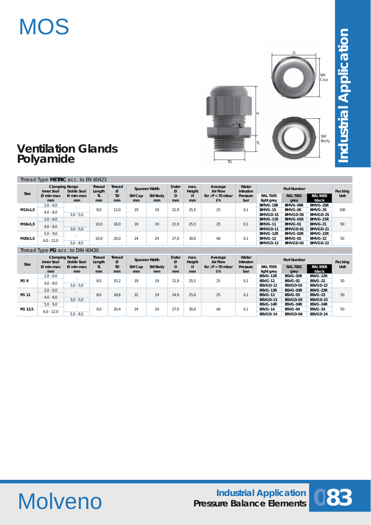# **MOS**



## **Ventilation Glands Polyamide**

| Size    | <b>Clamping Range</b><br>Doble Seal<br>Inner Seal |                   | <b>Thread</b><br>Thread<br><b>Spanner Width</b><br>Ø<br>Length |                             |              | Outer<br>max.<br>ø<br>Height |         | Average<br><b>Air Flow</b> | Water<br><b>Intrusion</b>       |                 | <b>Part Number</b>            |                         | Packing                  |      |  |          |          |          |  |
|---------|---------------------------------------------------|-------------------|----------------------------------------------------------------|-----------------------------|--------------|------------------------------|---------|----------------------------|---------------------------------|-----------------|-------------------------------|-------------------------|--------------------------|------|--|----------|----------|----------|--|
|         | $Ø$ min-max<br>mm                                 | $Ø$ min-max<br>mm | TL.<br>mm                                                      | <b>TD</b><br>m <sub>m</sub> | SW Cap<br>mm | <b>SW Body</b><br>mm         | D<br>mm | н<br>mm                    | for $\Delta P = 70$ mbar<br>1/h | Pressure<br>bar | <b>RAL 7035</b><br>light grey | <b>RAL 7001</b><br>grey | <b>RAL 9005</b><br>black | Unit |  |          |          |          |  |
|         | $2,0 - 6,0$                                       |                   |                                                                |                             |              |                              |         |                            |                                 |                 | <b>BMVG-1SR</b>               | <b>BMVG-0SR</b>         | <b>BMVG-2SR</b>          |      |  |          |          |          |  |
| M12x1.5 | $4,0 - 8,0$                                       |                   | 8.0                                                            | 12.0                        | 19           | 19                           | 21.9    | 25.5                       | 25                              | 0.1             | BMVG-1S                       | <b>BMVG-0S</b>          | BMVG-2S                  | 100  |  |          |          |          |  |
|         |                                                   | $3.0 - 5.0$       |                                                                |                             |              |                              |         |                            |                                 |                 | <b>BMVGD-1S</b>               | BMVGD-0S                | BMVGD-2S                 |      |  |          |          |          |  |
|         | $2.0 - 6.0$                                       |                   |                                                                | $\sim$                      |              |                              |         |                            |                                 |                 |                               |                         |                          |      |  | BMVG-11R | BMVG-01R | BMVG-21R |  |
| M16x1,5 | $4,0 - 8,0$                                       |                   | 10.0                                                           | 16.0                        | 19           | 19                           | 21.9    | 25.5                       | 25                              | 0.1             | <b>BMVG-11</b>                | BMVG-01                 | BMVG-21                  | 50   |  |          |          |          |  |
|         |                                                   | $3.0 - 5.0$       |                                                                |                             |              |                              |         |                            |                                 |                 | BMVGD-11                      | BMVGD-01                | BMVGD-21                 |      |  |          |          |          |  |
|         | $5.0 - 9.0$                                       |                   |                                                                |                             |              |                              |         |                            |                                 |                 | BMVG-12R                      | BMVG-02R                | BMVG-22R                 |      |  |          |          |          |  |
| M20x1,5 | $6.0 - 12.0$                                      |                   | 10.0                                                           | 20.0                        | 24           | 24                           | 27.0    | 30.0                       | 40                              | 0.1             | BMVG-12                       | BMVG-02                 | BMVG-22                  | 50   |  |          |          |          |  |
|         |                                                   | $5,0 - 8,5$       |                                                                |                             |              |                              |         |                            |                                 |                 | BMVGD-12                      | BMVGD-02                | BMVGD-22                 |      |  |          |          |          |  |

#### Thread Type **PG** acc. to DIN 40430

| <b>Size</b>     | <b>Clamping Range</b><br>Doble Seal<br>Inner Seal |                    | Thread<br>Length | <b>Thread</b><br>Ø | Spanner Width  |         | Outer<br>Ø    |      | Average<br>max.<br>Height<br><b>Air Flow</b> |          |                 |                 | Packing         |      |
|-----------------|---------------------------------------------------|--------------------|------------------|--------------------|----------------|---------|---------------|------|----------------------------------------------|----------|-----------------|-----------------|-----------------|------|
|                 | $Ø$ min-max                                       | $Ø$ min-max        | TL.              | TD                 | SW Cap         | SW Body | D             | н    | for $\Delta P = 70$ mbar                     | Pressure | <b>RAL 7035</b> | <b>RAL 7001</b> | <b>RAL 9005</b> | Unit |
|                 | mm                                                | mm                 | mm               | m <sub>m</sub>     | m <sub>m</sub> | mm      | <sub>mm</sub> | mm   | 1/h                                          | bar      | light grey      | grey            | black           |      |
|                 | $2,0 - 6,0$                                       |                    |                  |                    |                |         |               |      |                                              |          | BSVG-12R        | BSVG-02R        | BSVG-22R        |      |
| PG <sub>9</sub> | $4,0 - 8,0$                                       | 8.0<br>$3.0 - 5.0$ |                  | 15.2               | 19             | 19      | 21.9          | 25.5 | 25                                           | 0.1      | <b>BSVG-12</b>  | <b>BSVG-02</b>  | <b>BSVG-22</b>  | 50   |
|                 |                                                   |                    |                  |                    |                |         |               |      |                                              |          | BSVGD-12        | BSVGD-02        | BSVGD-22        |      |
|                 | $2,0 - 6,0$                                       |                    |                  |                    |                |         |               |      |                                              |          | BSVG-13R        | BSVG-03R        | BSVG-23R        |      |
| <b>PG 11</b>    | $4,0 - 8,0$                                       |                    | 8.0              | 18,6               | 22             | 19      | 24.9          | 25.0 | 25                                           | 0.1      | <b>BSVG-13</b>  | BSVG-03         | BSVG-23         | 50   |
|                 |                                                   | $3.0 - 5.0$        |                  |                    |                |         |               |      |                                              |          | BSVGD-13        | BSVGD-03        | BSVGD-23        |      |
|                 | $5.0 - 9.0$                                       |                    |                  |                    |                |         |               |      |                                              |          | BSVG-14R        | BSVG-04R        | BSVG-24R        |      |
| PG 13.5         |                                                   |                    | 9,0              | 20,4               | 24             | 24      | 27,0          | 30.0 | 40                                           | 0.1      | <b>BSVG-14</b>  | BSVG-04         | BSVG-24         | 50   |
|                 | $6.0 - 12.0$                                      | $5.0 - 8.5$        |                  |                    |                |         |               |      |                                              |          | BSVGD-14        | BSVGD-04        | BSVGD-24        |      |



# Molveno

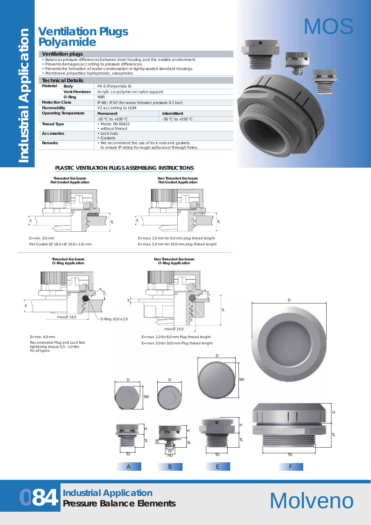## **Ventilation Plugs Polyamide**

#### **Ventilation plugs**

- Balances pressure differences between inner housing and the outside environment.
- Prevents damages according to pressure differences. Prevents the formation of water condensation in tightly-sealed standard housings.
- 

|                         | · Membrane properties: hydrophobic, oleophobic. |                                                      |                        |  |  |  |  |  |  |  |  |  |
|-------------------------|-------------------------------------------------|------------------------------------------------------|------------------------|--|--|--|--|--|--|--|--|--|
|                         | <b>Technical Details</b>                        |                                                      |                        |  |  |  |  |  |  |  |  |  |
| Material                | Body                                            | PA 6 (Polyamide 6)                                   |                        |  |  |  |  |  |  |  |  |  |
|                         | Vent Membran                                    | Acrylic co-polymer on nylon-support                  |                        |  |  |  |  |  |  |  |  |  |
|                         | O-Ring                                          | <b>NBR</b>                                           |                        |  |  |  |  |  |  |  |  |  |
| <b>Protection Class</b> |                                                 | IP 68 / IP 67 (for water intrusion pressure 0.1 bar) |                        |  |  |  |  |  |  |  |  |  |
| Flammability            |                                                 | V2 according to UL94                                 |                        |  |  |  |  |  |  |  |  |  |
|                         | <b>Operating Temperature</b>                    | Intermittent<br>Permanent                            |                        |  |  |  |  |  |  |  |  |  |
|                         |                                                 | $-20$ °C to $+100$ °C.                               | $-30$ °C to $+150$ °C. |  |  |  |  |  |  |  |  |  |
| <b>Thread Type</b>      |                                                 | • Metric FN 60423                                    |                        |  |  |  |  |  |  |  |  |  |
|                         |                                                 | • without thread                                     |                        |  |  |  |  |  |  |  |  |  |
| Accessories             |                                                 | $\cdot$ Lock nuts                                    |                        |  |  |  |  |  |  |  |  |  |
|                         |                                                 | • Gaskets                                            |                        |  |  |  |  |  |  |  |  |  |
|                         |                                                 |                                                      |                        |  |  |  |  |  |  |  |  |  |
| Remarks                 |                                                 | • We recommend the use of lock nuts and gaskets      |                        |  |  |  |  |  |  |  |  |  |



#### **PLASTIC VENTILATION PLUGS ASSEMBLING INSTRUCTIONS**

E



E= min. 3,0 mm Flat Gasket (Ø 18,0 x Ø 10,8 x 1,0) mm

> **Threaded Enclosure O-Ring Application**







E= max. 1,0 mm for 6,0 mm plug thread lenght E= max. 5,0 mm for 10,0 mm plug thread lenght



#### E= max. 1,0 for 6,0 mm Plug thread lenght E= max. 5,0 for 10,0 mm Plug thread lenght

D

SW







D

# Molveno

**084 Industrial Application Pressure Balance Elements**

TD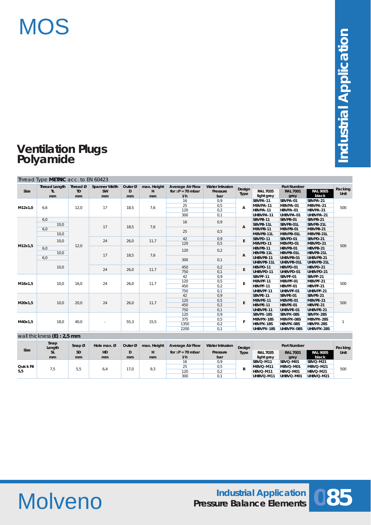

## **Ventilation Plugs Polyamide**

|         | Thread Type METRIC acc. to EN 60423 |                             |                                  |                    |                         |                                                            |                                           |                          |                               |                                               |                          |                 |     |     |   |          |          |          |            |            |            |
|---------|-------------------------------------|-----------------------------|----------------------------------|--------------------|-------------------------|------------------------------------------------------------|-------------------------------------------|--------------------------|-------------------------------|-----------------------------------------------|--------------------------|-----------------|-----|-----|---|----------|----------|----------|------------|------------|------------|
| Size    | <b>Thread Length</b><br>TL<br>mm    | Thread Ø<br><b>TD</b><br>mm | <b>Spanner Width</b><br>SW<br>mm | Outer Ø<br>D<br>mm | max. Height<br>H.<br>mm | <b>Average Air Flow</b><br>for $\Delta P = 70$ mbar<br>I/h | <b>Water Intrusion</b><br>Pressure<br>bar | Design<br><b>Type</b>    | <b>RAL 7035</b><br>light grey | <b>Part Number</b><br><b>RAL 7001</b><br>grey | <b>RAL 9005</b><br>black | Packing<br>Unit |     |     |   |          |          |          |            |            |            |
|         |                                     |                             |                                  |                    |                         | 16                                                         | 0,9                                       |                          | SBVPA-11                      | SBVPA-01                                      | SBVPA-21                 |                 |     |     |   |          |          |          |            |            |            |
|         |                                     |                             |                                  |                    |                         | 25                                                         | 0,5                                       |                          | MBVPA-11                      | MBVPA-01                                      | MBVPA-21                 |                 |     |     |   |          |          |          |            |            |            |
| M12x1,0 | 6,6                                 | 12,0                        | 17                               | 18,5               | 7,6                     | 120                                                        | 0,2                                       | А                        | HBVPA-11                      | HBVPA-01                                      | HBVPA-21                 | 500             |     |     |   |          |          |          |            |            |            |
|         |                                     |                             |                                  |                    |                         | 300                                                        | 0,1                                       |                          | UHBVPA-11                     | UHBVPA-01                                     | UHBVPA-21                |                 |     |     |   |          |          |          |            |            |            |
|         | 6,0                                 |                             |                                  |                    |                         | 16                                                         |                                           |                          | SBVPB-11                      | SBVPB-01                                      | SBVPB-21                 |                 |     |     |   |          |          |          |            |            |            |
|         | 10,0                                |                             | 17                               | 18,5<br>7,6        |                         | 0,9                                                        |                                           | SBVPB-11L                | SBVPB-01L                     | SBVPB-21L                                     |                          |                 |     |     |   |          |          |          |            |            |            |
|         | 6,0                                 |                             |                                  |                    |                         |                                                            |                                           | A                        | MBVPB-11                      | MBVPB-01                                      | MBVPB-21                 |                 |     |     |   |          |          |          |            |            |            |
|         | 10,0                                |                             |                                  |                    |                         | 25                                                         | 0,5                                       |                          | MBVPB-11L                     | MBVPB-01L                                     | MBVPB-21L                |                 |     |     |   |          |          |          |            |            |            |
|         |                                     |                             |                                  |                    |                         | 42                                                         | 0.9                                       |                          | SBVPD-11                      | SBVPD-01                                      | SBVPD-21                 |                 |     |     |   |          |          |          |            |            |            |
|         | 10.0                                |                             | 24                               | 26,0               | 11,7                    | 120                                                        | 0,5                                       | E                        | MBVPD-11                      | MBVPD-01                                      | MBVPD-21                 |                 |     |     |   |          |          |          |            |            |            |
| M12x1,5 | 6.0                                 | 12,0                        |                                  |                    |                         | 120                                                        |                                           |                          | HBVPB-11                      | HBVPB-01                                      | HBVPB-21                 | 500             |     |     |   |          |          |          |            |            |            |
|         | 10,0                                |                             | 17                               | 18,5               | 7,6                     |                                                            | 0,2                                       |                          | HBVPB-11L                     | HBVPB-01L                                     | HBVPB-21L                |                 |     |     |   |          |          |          |            |            |            |
|         | 6,0                                 |                             |                                  |                    |                         | 300                                                        | 0,1                                       | A                        | UHBVPB-11                     | UHBVPB-01                                     | UHBVPB-21                |                 |     |     |   |          |          |          |            |            |            |
|         |                                     | 10,0                        |                                  |                    |                         |                                                            |                                           |                          |                               |                                               |                          |                 |     |     |   |          |          |          | UHBVPB-11L | UHBVPB-01L | UHBVPB-21L |
|         |                                     |                             |                                  |                    |                         |                                                            |                                           |                          |                               | 24                                            | 26,0                     | 11,7            | 450 | 0,2 | E | HBVPD-11 | HBVPD-01 | HBVPD-21 |            |            |            |
|         |                                     |                             |                                  |                    |                         | 750                                                        | 0,1                                       |                          | UHBVPD-11                     | UHBVPD-01                                     | UHBVPD-21                |                 |     |     |   |          |          |          |            |            |            |
|         |                                     |                             |                                  |                    |                         | 42                                                         | 0,9                                       |                          | SBVPF-11                      | SBVPF-01                                      | SBVPF-21                 |                 |     |     |   |          |          |          |            |            |            |
| M16x1,5 | 10,0                                | 16,0                        | 24                               | 26,0               | 11,7                    | 120                                                        | 0,5                                       | E                        | MBVPF-11                      | MBVPF-01                                      | MBVPF-21                 | 500             |     |     |   |          |          |          |            |            |            |
|         |                                     |                             |                                  |                    |                         | 450                                                        | 0,2                                       |                          | HBVPF-11                      | HBVPF-01                                      | HBVPF-21                 |                 |     |     |   |          |          |          |            |            |            |
|         |                                     |                             |                                  |                    |                         | 750                                                        | 0,1                                       |                          | UHBVPF-11                     | UHBVPF-01                                     | UHBVPF-21                |                 |     |     |   |          |          |          |            |            |            |
|         |                                     |                             |                                  |                    |                         | 42                                                         | 0,9                                       |                          | SBVPE-11                      | SBVPE-01                                      | SBVPE-21                 |                 |     |     |   |          |          |          |            |            |            |
| M20x1,5 | 10,0                                | 20,0                        | 24                               | 26,0               | 11,7                    | 120                                                        | 0,5                                       | E                        | MBVPE-11                      | MBVPE-01                                      | MBVPE-21                 | 500             |     |     |   |          |          |          |            |            |            |
|         |                                     |                             |                                  |                    |                         | 450                                                        | 0,2                                       |                          | HBVPE-11                      | HBVPE-01                                      | HBVPE-21                 |                 |     |     |   |          |          |          |            |            |            |
|         |                                     |                             |                                  |                    |                         | 750                                                        | 0,1                                       |                          | UHBVPE-11                     | UHBVPE-01                                     | UHBVPE-21                |                 |     |     |   |          |          |          |            |            |            |
|         |                                     |                             |                                  |                    |                         | 120                                                        | 0,9                                       |                          | SBVPX-18S                     | SBVPX-08S                                     | SBVPX-28S                |                 |     |     |   |          |          |          |            |            |            |
|         | 18,0                                | 40,0                        |                                  |                    | 15,5                    | 375                                                        | 0,5                                       | F                        | MBVPX-18S                     | MBVPX-08S                                     | MBVPX-28S                | $\mathbf{1}$    |     |     |   |          |          |          |            |            |            |
| M40x1,5 |                                     |                             |                                  | 55,3               |                         | 1350                                                       | 0,2                                       |                          | HBVPX-18S                     | HBVPX-08S                                     | HBVPX-28S                |                 |     |     |   |          |          |          |            |            |            |
|         |                                     |                             |                                  |                    |                         | 2200                                                       | 0,1                                       | UHBVPX-18S<br>UHBVPX-08S |                               | UHBVPX-28S                                    |                          |                 |     |     |   |          |          |          |            |            |            |

|           | wall thickness $(E)$ : 2,5 mm        |            |               |                   |               |                         |                        |        |                 |                    |                 |          |          |     |
|-----------|--------------------------------------|------------|---------------|-------------------|---------------|-------------------------|------------------------|--------|-----------------|--------------------|-----------------|----------|----------|-----|
|           | Snap<br>Snap $\varnothing$<br>Length |            | Hole max. $Ø$ | Outer $\emptyset$ | max. Height   | <b>Average Air Flow</b> | <b>Water Intrusion</b> | Design |                 | <b>Part Number</b> |                 | Packing  |          |     |
| Size      | SL                                   | <b>SD</b>  | HD.           | D                 | н             | for $AP = 70$ mbar      | Pressure               | Type   | <b>RAL 7035</b> | <b>RAL 7001</b>    | <b>RAL 9005</b> | Unit     |          |     |
|           | mm                                   | mm         | mm            | mm                | <sub>mm</sub> | 1/h                     | bar                    |        | light grey      | grey               | black           |          |          |     |
|           |                                      |            |               |                   |               | 16                      | 0.9                    |        | SBVQ-M11        | SBVQ-M01           | SBVQ-M21        |          |          |     |
| Quick Fit |                                      |            |               |                   |               | 25                      | 0,5                    |        | MBVQ-M11        | MBVQ-M01           | MBVQ-M21        |          |          |     |
| 5,5       |                                      | 5.5<br>7,5 | 6.4           | 17,0              | 9,3           | 120                     | 0,2                    |        |                 |                    | HBVQ-M11        | HBVQ-M01 | HBVQ-M21 | 500 |
|           |                                      |            |               |                   |               | 300                     | 0,1                    |        | UHBVQ-M11       | UHBVQ-M01          | UHBVQ-M21       |          |          |     |

Molveno

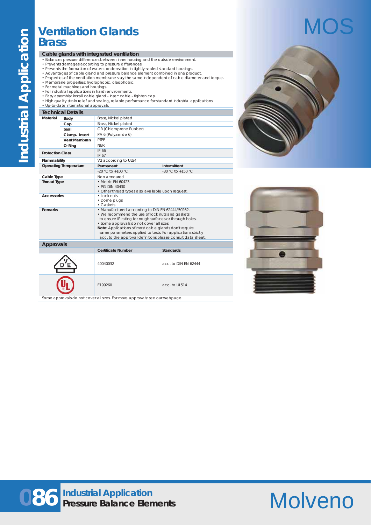## **Ventilation Glands Brass**

#### **Cable glands with integrated ventilation**

- Balances pressure differences between inner housing and the outside environment.
- 
- 
- Prevents damages according to pressure differences.<br>• Prevents the formation of water condensation in tightly-sealed standard housings.<br>• Advantages of cable gland and pressure balance element combined in one product.<br>•
- 
- For metal machines and housings. For industrial applications in harsh environments.
- 
- Easy assembly: install cable gland insert cable tighten cap.
- High quality strain relief and sealing, reliable performance for standard industrial applications. Up-to-date international approvals.

|                         | <b>Technical Details</b>     |                                                                                                                                                                                                                                                                                                                                                                                                   |                       |  |  |  |  |  |  |
|-------------------------|------------------------------|---------------------------------------------------------------------------------------------------------------------------------------------------------------------------------------------------------------------------------------------------------------------------------------------------------------------------------------------------------------------------------------------------|-----------------------|--|--|--|--|--|--|
| Material                | Body                         | Brass, Nickel plated                                                                                                                                                                                                                                                                                                                                                                              |                       |  |  |  |  |  |  |
|                         | Cap                          | Brass, Nickel plated                                                                                                                                                                                                                                                                                                                                                                              |                       |  |  |  |  |  |  |
|                         | Seal                         | CR (Chloroprene Rubber)                                                                                                                                                                                                                                                                                                                                                                           |                       |  |  |  |  |  |  |
|                         | Clamp. Insert                | PA 6 (Polyamide 6)                                                                                                                                                                                                                                                                                                                                                                                |                       |  |  |  |  |  |  |
|                         | <b>Vent Membran</b>          | PTFF                                                                                                                                                                                                                                                                                                                                                                                              |                       |  |  |  |  |  |  |
|                         | O-Ring                       | <b>NBR</b>                                                                                                                                                                                                                                                                                                                                                                                        |                       |  |  |  |  |  |  |
| <b>Protection Class</b> |                              | IP 66<br>IP 67                                                                                                                                                                                                                                                                                                                                                                                    |                       |  |  |  |  |  |  |
| Flammability            |                              | V2 according to UL94                                                                                                                                                                                                                                                                                                                                                                              |                       |  |  |  |  |  |  |
|                         | <b>Operating Temperature</b> | Permanent                                                                                                                                                                                                                                                                                                                                                                                         | Intermittent          |  |  |  |  |  |  |
|                         |                              | $-20$ °C to $+100$ °C.                                                                                                                                                                                                                                                                                                                                                                            | $-30$ °C to $+150$ °C |  |  |  |  |  |  |
| Cable Type              |                              | Non armoured                                                                                                                                                                                                                                                                                                                                                                                      |                       |  |  |  |  |  |  |
| <b>Thread Type</b>      |                              | • Metric FN 60423<br>$\cdot$ PG DIN 40430<br>• Other thread types also available upon request.                                                                                                                                                                                                                                                                                                    |                       |  |  |  |  |  |  |
| Accessories             |                              | $\cdot$ Lock nuts<br>• Dome pluas<br>$\cdot$ Gaskets                                                                                                                                                                                                                                                                                                                                              |                       |  |  |  |  |  |  |
| Remarks                 |                              | • Manufactured according to DIN EN 62444/50262.<br>• We recommend the use of lock nuts and gaskets<br>to ensure IP rating for rough surfaces or through holes.<br>· Some approvals do not cover all sizes.<br>Note: Applications of most cable glands don't require<br>same parameters applied to tests. For applications strictly<br>acc. to the approval definitions please consult data sheet. |                       |  |  |  |  |  |  |
| <b>Approvals</b>        |                              |                                                                                                                                                                                                                                                                                                                                                                                                   |                       |  |  |  |  |  |  |
|                         |                              | Certificate Number                                                                                                                                                                                                                                                                                                                                                                                | <b>Standards</b>      |  |  |  |  |  |  |
|                         | ́́                           |                                                                                                                                                                                                                                                                                                                                                                                                   |                       |  |  |  |  |  |  |







Some approvals do not cover all sizes. For more approvals: see our webpage.

# Molveno

# MOS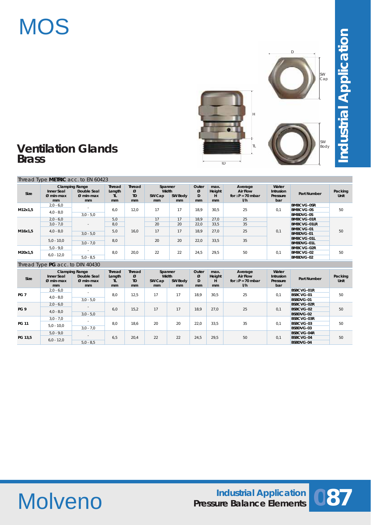# **MOS**



## **Ventilation Glands Brass**

Thread Type **METRIC** acc. to EN 60423

 $\overline{ID}$ 

H

Industrial Application **Industrial Application**

| Size    | Inner Seal<br>$Ø$ min-max<br><sub>mm</sub> | <b>Clamping Range</b><br>Double Seal<br>$Ø$ min-max<br>mm | Thread<br>Length<br>TL<br>mm | <b>Thread</b><br>Ø<br><b>TD</b><br>mm | Spanner<br>Width<br>SW Cap<br>mm | <b>SW Body</b><br>mm | Outer<br>ø<br>D<br>mm | max.<br>Height<br>н<br>mm | Average<br><b>Air Flow</b><br>for $\Delta P = 70$ mbar<br>1/h | Water<br><b>Intrusion</b><br>Pressure<br>bar | <b>Part Number</b>                                        | Packing<br>Unit        |
|---------|--------------------------------------------|-----------------------------------------------------------|------------------------------|---------------------------------------|----------------------------------|----------------------|-----------------------|---------------------------|---------------------------------------------------------------|----------------------------------------------|-----------------------------------------------------------|------------------------|
| M12x1,5 | $2,0 - 6,0$<br>$4,0 - 8,0$                 | $\sim$<br>$3.0 - 5.0$                                     | 6,0                          | 12,0                                  | 17                               | 17                   | 18,9                  | 30,5                      | 25                                                            | 0,1                                          | <b>BMBCVG-0SR</b><br><b>BMBCVG-0S</b><br><b>BMBDVG-0S</b> | 50                     |
|         | $2,0 - 6,0$<br>$3,0 - 7,0$                 | $\sim$<br>$3.0 - 5.0$                                     | 5,0<br>8.0                   |                                       | 17<br>20                         | 17<br>20             | 18.9<br>22.0          | 27,0<br>33.5              | 25<br>35                                                      |                                              | <b>BMBCVG-01R</b><br><b>BMBCVG-01LR</b>                   |                        |
| M16x1.5 | $4,0 - 8,0$                                |                                                           |                              | 5,0                                   | 16,0                             | 17                   | 17                    | 18.9                      | 27,0                                                          | 25                                           | 0,1                                                       | BMBCVG-01<br>BMBDVG-01 |
|         | $5.0 - 10.0$                               | $3.0 - 7.0$                                               | 8,0                          |                                       | 20                               | 20                   | 22,0                  | 33,5                      | 35                                                            |                                              | <b>BMBCVG-01L</b><br><b>BMBDVG-01L</b>                    |                        |
| M20x1,5 | $5.0 - 9.0$<br>$6,0 - 12,0$                | $\sim$<br>$5.0 - 8.5$                                     | 8.0                          | 20,0                                  | 22                               | 22                   | 24,5                  | 29,5                      | 50                                                            | 0.1                                          | <b>BMBCVG-02R</b><br><b>BMBCVG-02</b><br>BMBDVG-02        | 50                     |

#### Thread Type **PG** acc. to DIN 40430

| Size                                   | Inner Seal<br>$Ø$ min-max<br>mm | <b>Clamping Range</b><br>Double Seal<br>$Ø$ min-max<br>mm | Thread<br>Length<br>TL<br>mm | Thread<br>Ø<br><b>TD</b><br><sub>mm</sub> | Spanner<br>Width<br>SW Cap<br><sub>mm</sub> | <b>SW Body</b><br>mm | Outer<br>ø<br>D<br>mm | max.<br>Height<br>н<br>mm | Average<br><b>Air Flow</b><br>for $AP = 70$ mbar<br>1/h | Water<br><b>Intrusion</b><br>Pressure<br>bar | <b>Part Number</b> | Packing<br>Unit |  |
|----------------------------------------|---------------------------------|-----------------------------------------------------------|------------------------------|-------------------------------------------|---------------------------------------------|----------------------|-----------------------|---------------------------|---------------------------------------------------------|----------------------------------------------|--------------------|-----------------|--|
|                                        | $2,0 - 6,0$                     |                                                           |                              |                                           |                                             |                      |                       |                           |                                                         |                                              | <b>BSBCVG-01R</b>  |                 |  |
| PG <sub>7</sub>                        | $4,0 - 8,0$                     |                                                           | 8.0                          | 12,5                                      | 17                                          | 17                   | 18.9                  | 30.5                      | 25                                                      | 0,1                                          | BSBCVG-01          | 50              |  |
|                                        | $3,0 - 5,0$                     |                                                           |                              |                                           |                                             |                      |                       |                           |                                                         | <b>BSBDVG-01</b>                             |                    |                 |  |
|                                        | $2,0 - 6,0$                     |                                                           |                              |                                           |                                             |                      |                       |                           |                                                         |                                              |                    | BSBCVG-02R      |  |
| PG <sub>9</sub>                        | $4,0 - 8,0$                     | $\sim$                                                    | 6.0                          | 15,2                                      | 17                                          | 17                   | 18,9                  | 27,0                      | 25                                                      | 0,1                                          | BSBCVG-02          | 50              |  |
|                                        |                                 | $3,0 - 5,0$                                               |                              |                                           |                                             |                      |                       |                           |                                                         |                                              | BSBDVG-02          |                 |  |
|                                        | $3.0 - 7.0$                     |                                                           |                              |                                           |                                             |                      |                       |                           |                                                         |                                              | <b>BSBCVG-03R</b>  |                 |  |
| <b>PG 11</b>                           |                                 |                                                           | 8.0                          | 18.6                                      | 20                                          | 20                   | 22,0                  | 33,5                      | 35                                                      | 0.1                                          | BSBCVG-03          | 50              |  |
|                                        | $5.0 - 10.0$                    | $3,0 - 7,0$                                               |                              |                                           |                                             |                      |                       |                           |                                                         |                                              | BSBDVG-03          |                 |  |
| $5,0 - 9,0$<br>PG 13.5<br>$6,0 - 12,0$ |                                 |                                                           |                              |                                           |                                             |                      |                       |                           |                                                         |                                              | <b>BSBCVG-04R</b>  |                 |  |
|                                        |                                 |                                                           | 6.5                          | 20,4                                      | 22                                          | 22                   | 24,5                  | 29,5                      | 50                                                      | 0.1                                          | <b>BSBCVG-04</b>   | 50              |  |
|                                        |                                 | $5.0 - 8.5$                                               |                              |                                           |                                             |                      |                       |                           |                                                         |                                              | <b>BSBDVG-04</b>   |                 |  |



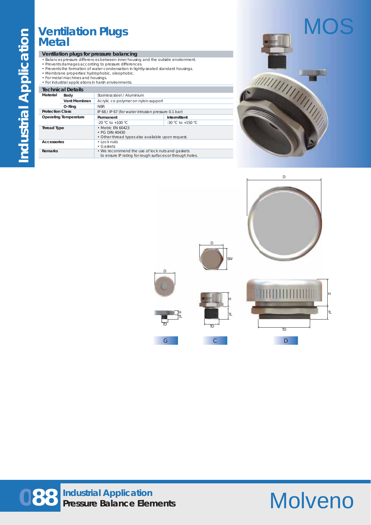## **Ventilation Plugs Metal**

#### **Ventilation plugs for pressure balancing**

- Balances pressure differences between inner housing and the outside environment.
- Prevents damages according to pressure differences. Prevents the formation of water condensation in tightly-sealed standard housings.
- Membrane properties: hydrophobic, oleophobic.
- 
- For metal machines and housings. For industrial applications in harsh environments.

### **Technical Details**

|                              | 1999 - 1999 - 1999 - 1999 - 1999 - 1999 - 1999 - 1999 - 1999 - 1999 - 1999 - 1999 - 1999 - 1999 - 1999 - 1999 |                                                                                                             |                        |  |  |  |  |  |
|------------------------------|---------------------------------------------------------------------------------------------------------------|-------------------------------------------------------------------------------------------------------------|------------------------|--|--|--|--|--|
| Material                     | Body                                                                                                          | Stainless steel / Aluminium                                                                                 |                        |  |  |  |  |  |
|                              | Vent Membran                                                                                                  | Acrylic co-polymer on nylon-support                                                                         |                        |  |  |  |  |  |
|                              | O-Rina                                                                                                        | <b>NBR</b>                                                                                                  |                        |  |  |  |  |  |
| <b>Protection Class</b>      |                                                                                                               | IP 68 / IP 67 (for water intrusion pressure 0.1 bar)                                                        |                        |  |  |  |  |  |
| <b>Operating Temperature</b> |                                                                                                               | Permanent                                                                                                   | Intermittent           |  |  |  |  |  |
|                              |                                                                                                               | $-20$ °C to $+100$ °C.                                                                                      | $-30$ °C to $+150$ °C. |  |  |  |  |  |
| <b>Thread Type</b>           |                                                                                                               | • Metric FN 60423<br>• PG DIN 40430<br>• Other thread types also available upon request.                    |                        |  |  |  |  |  |
| Accessories                  |                                                                                                               | $\cdot$ Lock nuts<br>$\cdot$ Gaskets                                                                        |                        |  |  |  |  |  |
| Remarks                      |                                                                                                               | • We recommend the use of lock nuts and gaskets<br>to ensure IP rating for rough surfaces or through holes. |                        |  |  |  |  |  |





# Molveno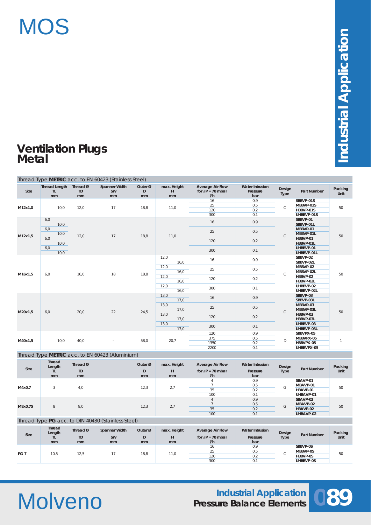

## **Ventilation Plugs Metal**

|                 |                            |                             | Thread Type METRIC acc. to EN 60423 (Stainless Steel) |                    |                        |                                                            |                                           |                |                    |                 |    |
|-----------------|----------------------------|-----------------------------|-------------------------------------------------------|--------------------|------------------------|------------------------------------------------------------|-------------------------------------------|----------------|--------------------|-----------------|----|
| <b>Size</b>     | Thread Length<br>TL.<br>mm | Thread Ø<br><b>TD</b><br>mm | <b>Spanner Width</b><br><b>SW</b><br>mm               | Outer Ø<br>D<br>mm | max. Height<br>н<br>mm | <b>Average Air Flow</b><br>for $\Delta P = 70$ mbar<br>I/h | <b>Water Intrusion</b><br>Pressure<br>bar | Design<br>Type | <b>Part Number</b> | Packing<br>Unit |    |
|                 |                            |                             |                                                       |                    |                        | 16                                                         | 0,9                                       |                | SBBVP-01S          |                 |    |
|                 |                            |                             |                                                       |                    |                        | 25                                                         | 0,5                                       |                | MBBVP-01S          |                 |    |
| M12x1,0         | 10,0                       | 12,0                        | 17                                                    | 18,8               | 11,0                   | 120                                                        | 0,2                                       | $\mathsf C$    | HBBVP-01S          | 50              |    |
|                 |                            |                             |                                                       |                    |                        | 300                                                        | 0,1                                       |                | UHBBVP-01S         |                 |    |
|                 | 6,0                        |                             |                                                       |                    |                        |                                                            |                                           |                | SBBVP-01           |                 |    |
|                 | 10,0                       |                             |                                                       |                    |                        | 16                                                         | 0,9                                       |                | SBBVP-01L          |                 |    |
|                 | 6,0                        |                             |                                                       |                    |                        |                                                            |                                           |                | MBBVP-01           |                 |    |
|                 | 10,0                       |                             |                                                       |                    |                        | 25                                                         | 0,5                                       |                | MBBVP-01L          |                 |    |
| M12x1,5         | 6,0                        | 12,0                        | 17                                                    | 18,8               | 11,0                   |                                                            |                                           | $\mathsf C$    | HBBVP-01           | 50              |    |
|                 | 10,0                       |                             |                                                       |                    |                        | 120                                                        | 0,2                                       |                | HBBVP-01L          |                 |    |
|                 | 6,0                        |                             |                                                       |                    |                        |                                                            |                                           |                | UHBBVP-01          |                 |    |
|                 | 10,0                       |                             |                                                       |                    |                        | 300                                                        | 0,1                                       |                | UHBBVP-01L         |                 |    |
|                 |                            |                             |                                                       |                    | 12,0                   |                                                            |                                           |                | SBBVP-02           |                 |    |
|                 |                            |                             |                                                       |                    | 16,0                   | 16                                                         | 0,9                                       |                | SBBVP-02L          |                 |    |
|                 |                            |                             |                                                       |                    | 12,0                   |                                                            |                                           |                | MBBVP-02           |                 |    |
|                 |                            |                             |                                                       |                    | 16,0                   | 25                                                         | 0,5                                       |                | MBBVP-02L          |                 |    |
| M16x1,5         | 6,0                        | 16,0                        | 18                                                    | 18,8               | 12,0                   |                                                            |                                           | $\mathsf C$    | HBBVP-02           | 50              |    |
|                 |                            |                             |                                                       |                    | 16,0                   | 120                                                        | 0,2                                       |                | HBBVP-02L          |                 |    |
|                 |                            |                             |                                                       |                    | 12,0                   |                                                            |                                           |                | UHBBVP-02          |                 |    |
|                 |                            |                             |                                                       |                    | 16,0                   | 300                                                        | 0,1                                       |                | UHBBVP-02L         |                 |    |
|                 |                            |                             |                                                       |                    | 13,0                   |                                                            |                                           |                |                    |                 |    |
|                 |                            |                             |                                                       |                    |                        | 16                                                         | 0,9                                       |                | SBBVP-03           |                 |    |
|                 |                            |                             |                                                       |                    | 17,0                   |                                                            |                                           |                | SBBVP-03L          |                 |    |
|                 |                            |                             |                                                       |                    | 13,0                   | 25                                                         | 0,5                                       |                | MBBVP-03           |                 |    |
| M20x1,5         | 6,0                        | 20,0                        | 22                                                    | 24,5               | 17,0                   |                                                            |                                           | $\mathsf C$    | MBBVP-03L          | 50              |    |
|                 |                            |                             |                                                       |                    | 13,0                   | 120                                                        | 0,2                                       |                | HBBVP-03           |                 |    |
|                 |                            |                             |                                                       |                    | 17,0                   |                                                            |                                           |                | HBBVP-03L          |                 |    |
|                 |                            |                             |                                                       |                    | 13,0                   | 300                                                        | 0,1                                       |                | UHBBVP-03          |                 |    |
|                 |                            |                             |                                                       |                    | 17,0                   |                                                            |                                           |                | UHBBVP-03L         |                 |    |
|                 |                            |                             |                                                       |                    |                        | 120                                                        | 0,9                                       |                | SBBVPX-05          |                 |    |
| M40x1,5         | 10.0                       | 40,0                        |                                                       | 58.0               | 20,7                   | 375                                                        | 0,5                                       | D              | MBBVPX-05          | $\overline{1}$  |    |
|                 |                            |                             |                                                       |                    |                        | 1350                                                       | 0,2                                       |                | HBBVPX-05          |                 |    |
|                 |                            |                             |                                                       |                    |                        | 2200                                                       | 0,1                                       |                | UHBBVPX-05         |                 |    |
|                 |                            |                             | Thread Type METRIC acc. to EN 60423 (Aluminium)       |                    |                        |                                                            |                                           |                |                    |                 |    |
|                 | <b>Thread</b><br>Length    | Thread Ø                    |                                                       | Outer Ø            | max. Height            | <b>Average Air Flow</b>                                    | <b>Water Intrusion</b>                    | Design         |                    | Packing         |    |
| Size            | TL.                        | <b>TD</b>                   |                                                       | $\mathsf D$        | н                      | for $\Delta P = 70$ mbar                                   | Pressure                                  | Type           | Part Number        | Unit            |    |
|                 | mm                         | mm                          |                                                       | mm                 | mm                     | I/h                                                        | bar                                       |                |                    |                 |    |
|                 |                            |                             |                                                       |                    |                        | $\overline{4}$                                             | 0,9                                       |                | SBAVP-01           |                 |    |
|                 |                            |                             |                                                       |                    |                        | $\overline{7}$                                             | 0,5                                       |                | MBAVP-01           |                 |    |
| M4x0,7          | 3                          | 4.0                         |                                                       | 12.3               | 2,7                    | 35                                                         | 0,2                                       | G              | HBAVP-01           | 50              |    |
|                 |                            |                             |                                                       |                    |                        | 100                                                        | 0,1                                       |                | UHBAVP-01          |                 |    |
|                 |                            |                             |                                                       |                    |                        | $\overline{4}$                                             | 0,9                                       |                | SBAVP-02           |                 |    |
|                 |                            |                             |                                                       |                    |                        | $\overline{7}$                                             | 0,5                                       |                | MBAVP-02           |                 |    |
| M8x0,75         | 8                          | 8,0                         |                                                       | 12,3               | 2,7                    | 35                                                         | 0,2                                       | G              | HBAVP-02           | 50              |    |
|                 |                            |                             |                                                       |                    |                        | 100                                                        | 0,1                                       |                | UHBAVP-02          |                 |    |
|                 |                            |                             |                                                       |                    |                        |                                                            |                                           |                |                    |                 |    |
|                 |                            |                             | Thread Type PG acc. to DIN 40430 (Stainless Steel)    |                    |                        |                                                            |                                           |                |                    |                 |    |
|                 | <b>Thread</b><br>Length    | Thread Ø                    | <b>Spanner Width</b>                                  | Outer <sup>Ø</sup> | max. Height            | <b>Average Air Flow</b>                                    | <b>Water Intrusion</b>                    | Design         |                    | Packing         |    |
| Size            | TL.                        | <b>TD</b>                   | SW                                                    | $\mathsf D$        | Н                      | for $\Delta P = 70$ mbar                                   | Pressure                                  | Type           | <b>Part Number</b> | Unit            |    |
|                 | mm                         | mm                          | mm                                                    | mm                 | mm                     | I/h                                                        | bar                                       |                |                    |                 |    |
|                 |                            |                             |                                                       |                    |                        | 16                                                         | 0,9                                       |                | SBBVP-0S           |                 |    |
| PG <sub>7</sub> |                            |                             |                                                       |                    |                        | 25                                                         | 0,5                                       | $\mathsf{C}$   | MBBVP-0S           |                 |    |
|                 |                            |                             | 10,5<br>12,5<br>17                                    |                    | 18,8                   | 11,0                                                       | 120                                       | 0,2            |                    | HBBVP-0S        | 50 |
|                 |                            |                             |                                                       |                    |                        |                                                            | 300                                       | 0,1            |                    | UHBBVP-0S       |    |

# Molveno

## **089 Industrial Application Pressure Balance Elements**

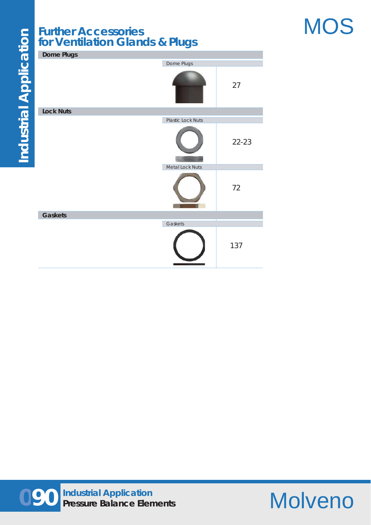## **Further Accessories for Ventilation Glands & Plugs**